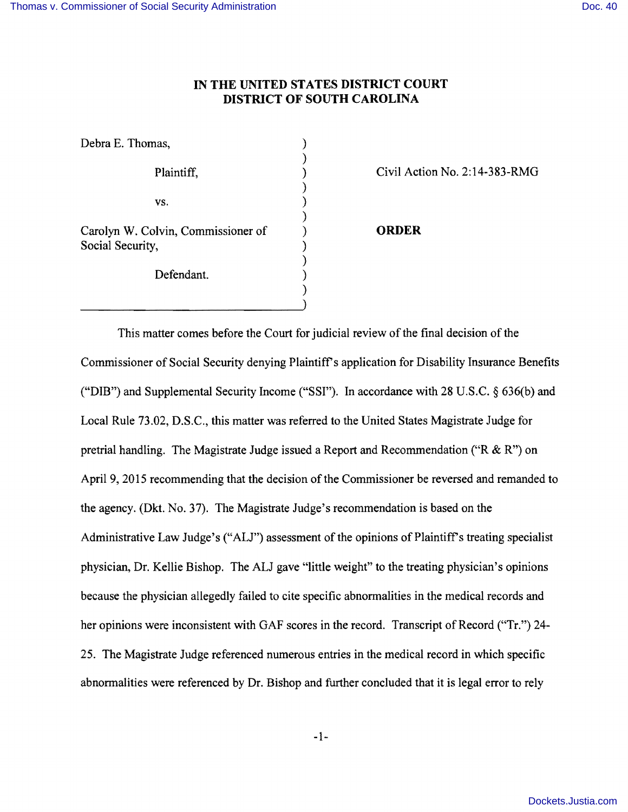## **IN THE UNITED STATES DISTRICT COURT DISTRICT OF SOUTH CAROLINA**

| Debra E. Thomas,                                       |              |
|--------------------------------------------------------|--------------|
| Plaintiff,                                             | Civil Act    |
| VS.                                                    |              |
| Carolyn W. Colvin, Commissioner of<br>Social Security, | <b>ORDER</b> |
| Defendant.                                             |              |
|                                                        |              |

Civil Action No.  $2:14-383-RMG$ 

This matter comes before the Court for judicial review of the final decision of the Commissioner of Social Security denying Plaintiff's application for Disability Insurance Benefits ("DIB") and Supplemental Security Income ("SSI"). In accordance with 28 U.S.C. § 636(b) and Local Rule 73.02, D.S.C., this matter was referred to the United States Magistrate Judge for pretrial handling. The Magistrate Judge issued a Report and Recommendation ( $R \& R$ ") on April 9, 2015 recommending that the decision of the Commissioner be reversed and remanded to the agency. (Dkt. No. 37). The Magistrate Judge's recommendation is based on the Administrative Law Judge's ("ALJ") assessment of the opinions of Plaintiff's treating specialist physician, Dr. Kellie Bishop. The ALJ gave "little weight" to the treating physician's opinions because the physician allegedly failed to cite specific abnormalities in the medical records and her opinions were inconsistent with GAF scores in the record. Transcript of Record ("Tr.") 24-25. The Magistrate Judge referenced numerous entries in the medical record in which specific abnormalities were referenced by Dr. Bishop and further concluded that it is legal error to rely

)